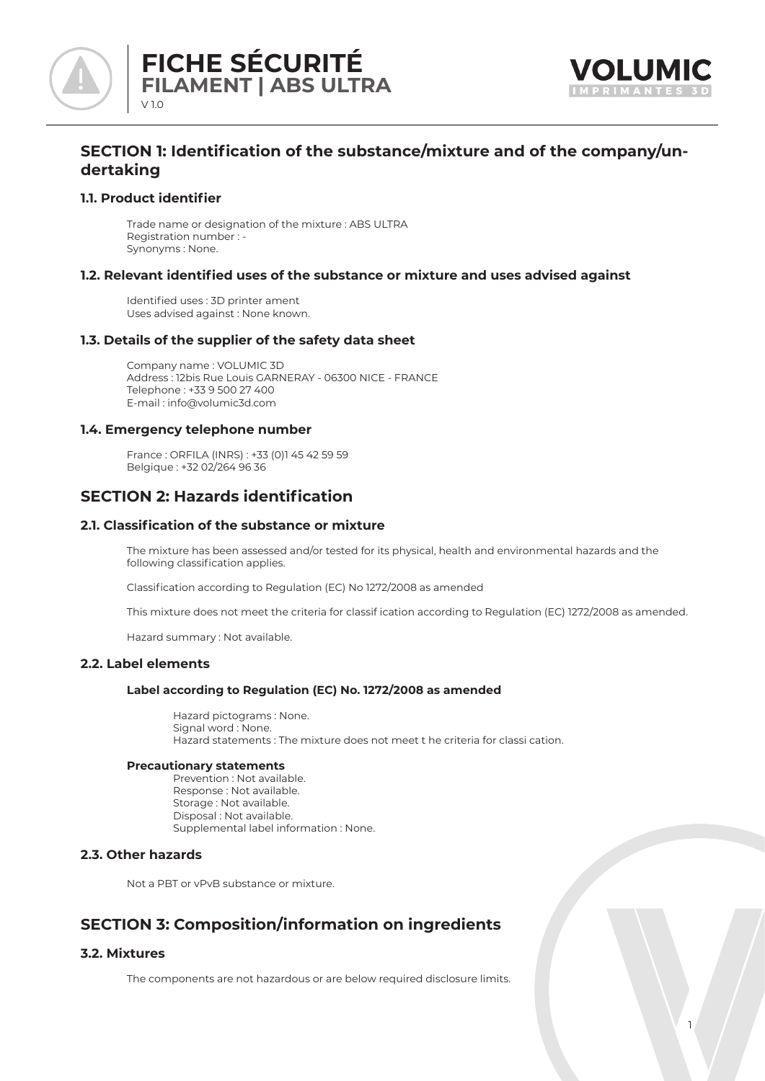



# **SECTION 1: Identification of the substance/mixture and of the company/undertaking**

## **1.1. Product identifier**

Trade name or designation of the mixture : ABS ULTRA Registration number : - Synonyms : None.

## **1.2. Relevant identified uses of the substance or mixture and uses advised against**

Identified uses : 3D printer ament Uses advised against : None known.

## **1.3. Details of the supplier of the safety data sheet**

Company name : VOLUMIC 3D Address : 12bis Rue Louis GARNERAY - 06300 NICE - FRANCE Telephone : +33 9 500 27 400 E-mail : info@volumic3d.com

## **1.4. Emergency telephone number**

France : ORFILA (INRS) : +33 (0)1 45 42 59 59 Belgique : +32 02/264 96 36

# **SECTION 2: Hazards identification**

## **2.1. Classification of the substance or mixture**

The mixture has been assessed and/or tested for its physical, health and environmental hazards and the following classification applies.

Classification according to Regulation (EC) No 1272/2008 as amended

This mixture does not meet the criteria for classif ication according to Regulation (EC) 1272/2008 as amended.

Hazard summary : Not available.

## **2.2. Label elements**

## **Label according to Regulation (EC) No. 1272/2008 as amended**

 Hazard pictograms : None. Signal word : None. Hazard statements : The mixture does not meet t he criteria for classi cation.

### **Precautionary statements**

 Prevention : Not available. Response : Not available. Storage : Not available. Disposal : Not available. Supplemental label information : None.

## **2.3. Other hazards**

Not a PBT or vPvB substance or mixture.

# **SECTION 3: Composition/information on ingredients**

# **3.2. Mixtures**

The components are not hazardous or are below required disclosure limits.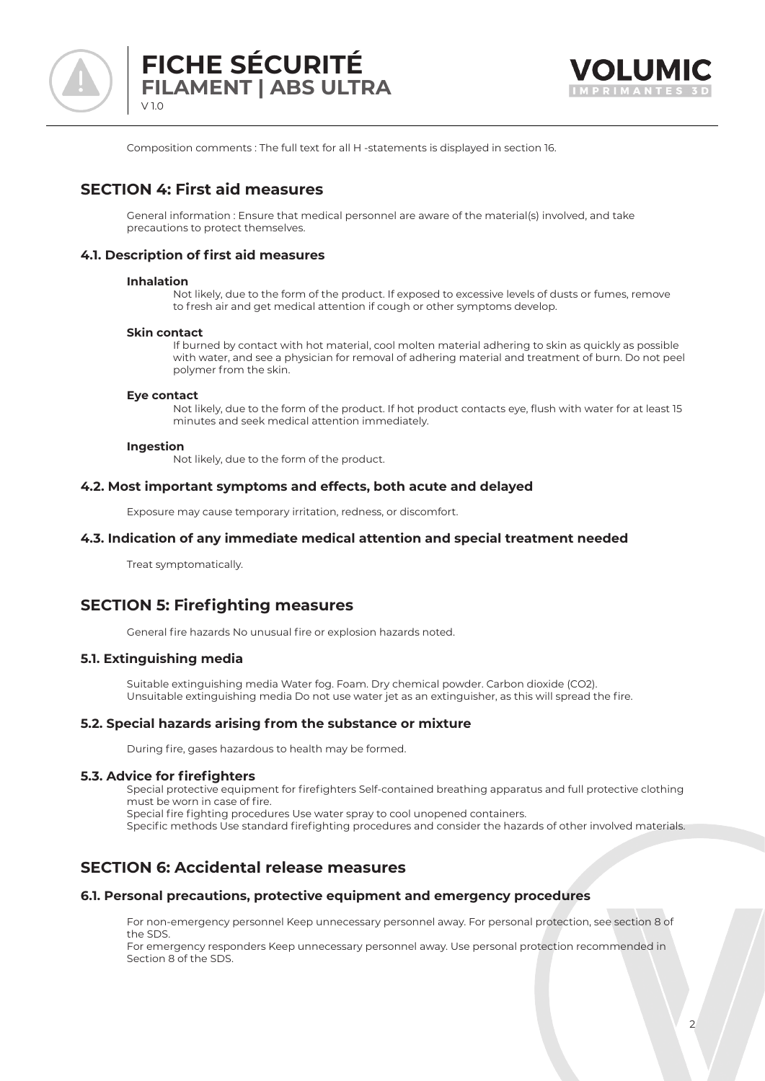



Composition comments : The full text for all H -statements is displayed in section 16.

# **SECTION 4: First aid measures**

General information : Ensure that medical personnel are aware of the material(s) involved, and take precautions to protect themselves.

# **4.1. Description of first aid measures**

### **Inhalation**

 Not likely, due to the form of the product. If exposed to excessive levels of dusts or fumes, remove to fresh air and get medical attention if cough or other symptoms develop.

### **Skin contact**

 If burned by contact with hot material, cool molten material adhering to skin as quickly as possible with water, and see a physician for removal of adhering material and treatment of burn. Do not peel polymer from the skin.

### **Eye contact**

 Not likely, due to the form of the product. If hot product contacts eye, flush with water for at least 15 minutes and seek medical attention immediately.

### **Ingestion**

Not likely, due to the form of the product.

## **4.2. Most important symptoms and effects, both acute and delayed**

Exposure may cause temporary irritation, redness, or discomfort.

## **4.3. Indication of any immediate medical attention and special treatment needed**

Treat symptomatically.

# **SECTION 5: Firefighting measures**

General fire hazards No unusual fire or explosion hazards noted.

## **5.1. Extinguishing media**

Suitable extinguishing media Water fog. Foam. Dry chemical powder. Carbon dioxide (CO2). Unsuitable extinguishing media Do not use water jet as an extinguisher, as this will spread the fire.

## **5.2. Special hazards arising from the substance or mixture**

During fire, gases hazardous to health may be formed.

## **5.3. Advice for firefighters**

Special protective equipment for firefighters Self-contained breathing apparatus and full protective clothing must be worn in case of fire.

Special fire fighting procedures Use water spray to cool unopened containers.

Specific methods Use standard firefighting procedures and consider the hazards of other involved materials.

# **SECTION 6: Accidental release measures**

## **6.1. Personal precautions, protective equipment and emergency procedures**

For non-emergency personnel Keep unnecessary personnel away. For personal protection, see section 8 of the SDS.

For emergency responders Keep unnecessary personnel away. Use personal protection recommended in Section 8 of the SDS.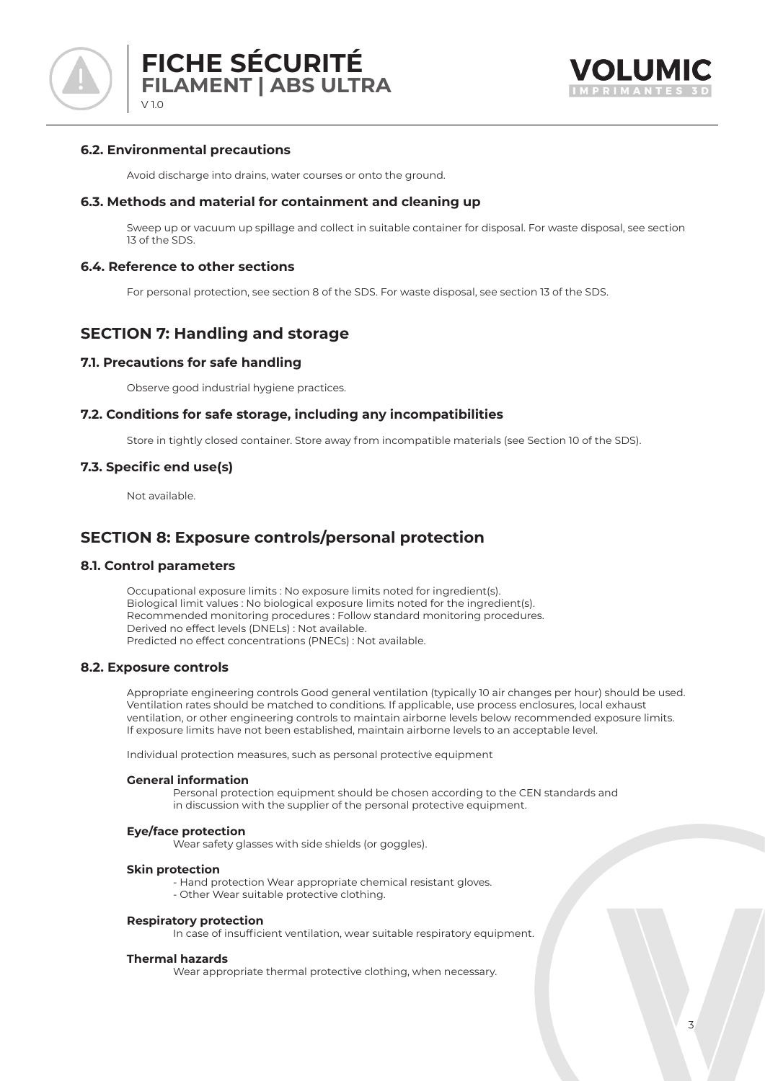

# **6.2. Environmental precautions**

Avoid discharge into drains, water courses or onto the ground.

## **6.3. Methods and material for containment and cleaning up**

Sweep up or vacuum up spillage and collect in suitable container for disposal. For waste disposal, see section 13 of the SDS.

## **6.4. Reference to other sections**

For personal protection, see section 8 of the SDS. For waste disposal, see section 13 of the SDS.

# **SECTION 7: Handling and storage**

## **7.1. Precautions for safe handling**

Observe good industrial hygiene practices.

## **7.2. Conditions for safe storage, including any incompatibilities**

Store in tightly closed container. Store away from incompatible materials (see Section 10 of the SDS).

## **7.3. Specific end use(s)**

Not available.

# **SECTION 8: Exposure controls/personal protection**

## **8.1. Control parameters**

Occupational exposure limits : No exposure limits noted for ingredient(s). Biological limit values : No biological exposure limits noted for the ingredient(s). Recommended monitoring procedures : Follow standard monitoring procedures. Derived no effect levels (DNELs) : Not available. Predicted no effect concentrations (PNECs) : Not available.

## **8.2. Exposure controls**

Appropriate engineering controls Good general ventilation (typically 10 air changes per hour) should be used. Ventilation rates should be matched to conditions. If applicable, use process enclosures, local exhaust ventilation, or other engineering controls to maintain airborne levels below recommended exposure limits. If exposure limits have not been established, maintain airborne levels to an acceptable level.

Individual protection measures, such as personal protective equipment

### **General information**

 Personal protection equipment should be chosen according to the CEN standards and in discussion with the supplier of the personal protective equipment.

### **Eye/face protection**

Wear safety glasses with side shields (or goggles).

### **Skin protection**

- Hand protection Wear appropriate chemical resistant gloves.
- Other Wear suitable protective clothing.

### **Respiratory protection**

In case of insufficient ventilation, wear suitable respiratory equipment.

### **Thermal hazards**

Wear appropriate thermal protective clothing, when necessary.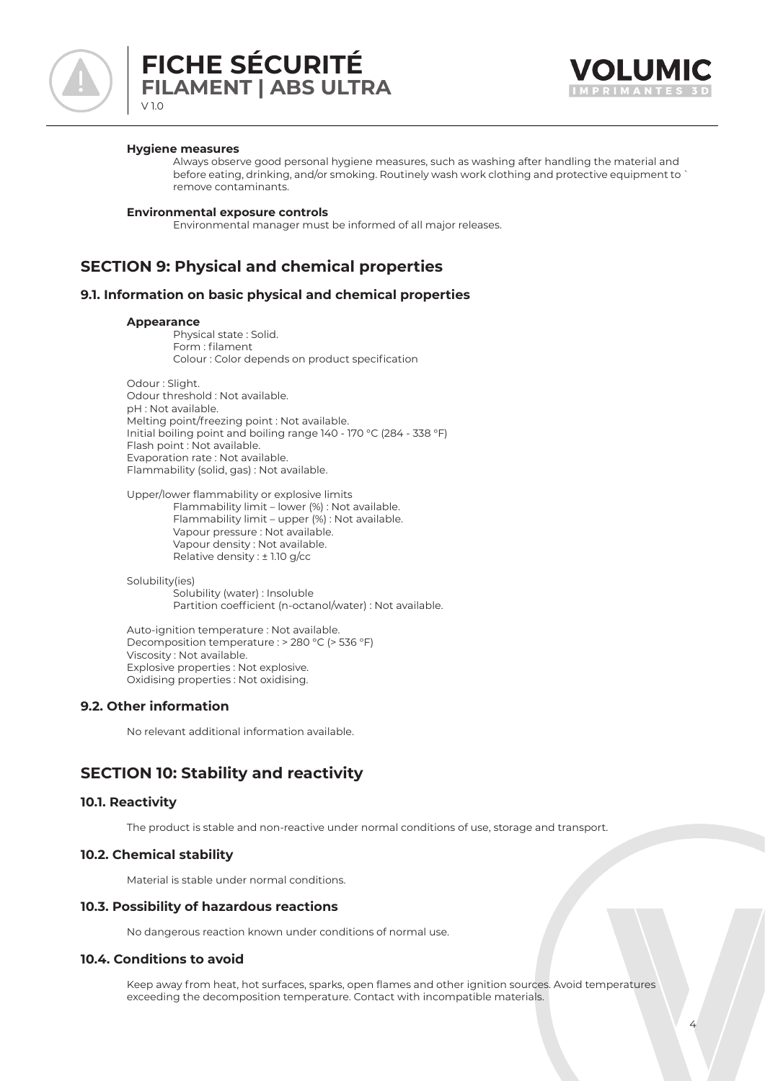

# **FICHE SÉCURITÉ FILAMENT | ABS ULTRA** V 1.0



### **Hygiene measures**

 Always observe good personal hygiene measures, such as washing after handling the material and before eating, drinking, and/or smoking. Routinely wash work clothing and protective equipment to ` remove contaminants.

### **Environmental exposure controls**

Environmental manager must be informed of all major releases.

# **SECTION 9: Physical and chemical properties**

### **9.1. Information on basic physical and chemical properties**

### **Appearance**

 Physical state : Solid. Form : filament Colour : Color depends on product specification

Odour : Slight. Odour threshold : Not available. pH : Not available. Melting point/freezing point : Not available. Initial boiling point and boiling range 140 - 170 °C (284 - 338 °F) Flash point : Not available. Evaporation rate : Not available. Flammability (solid, gas) : Not available.

Upper/lower flammability or explosive limits Flammability limit – lower (%) : Not available. Flammability limit – upper (%) : Not available. Vapour pressure : Not available. Vapour density : Not available. Relative density : ± 1.10 g/cc

Solubility(ies) Solubility (water) : Insoluble Partition coefficient (n-octanol/water) : Not available.

Auto-ignition temperature : Not available. Decomposition temperature : > 280 °C (> 536 °F) Viscosity : Not available. Explosive properties : Not explosive. Oxidising properties : Not oxidising.

## **9.2. Other information**

No relevant additional information available.

# **SECTION 10: Stability and reactivity**

## **10.1. Reactivity**

The product is stable and non-reactive under normal conditions of use, storage and transport.

## **10.2. Chemical stability**

Material is stable under normal conditions.

## **10.3. Possibility of hazardous reactions**

No dangerous reaction known under conditions of normal use.

## **10.4. Conditions to avoid**

Keep away from heat, hot surfaces, sparks, open flames and other ignition sources. Avoid temperatures exceeding the decomposition temperature. Contact with incompatible materials.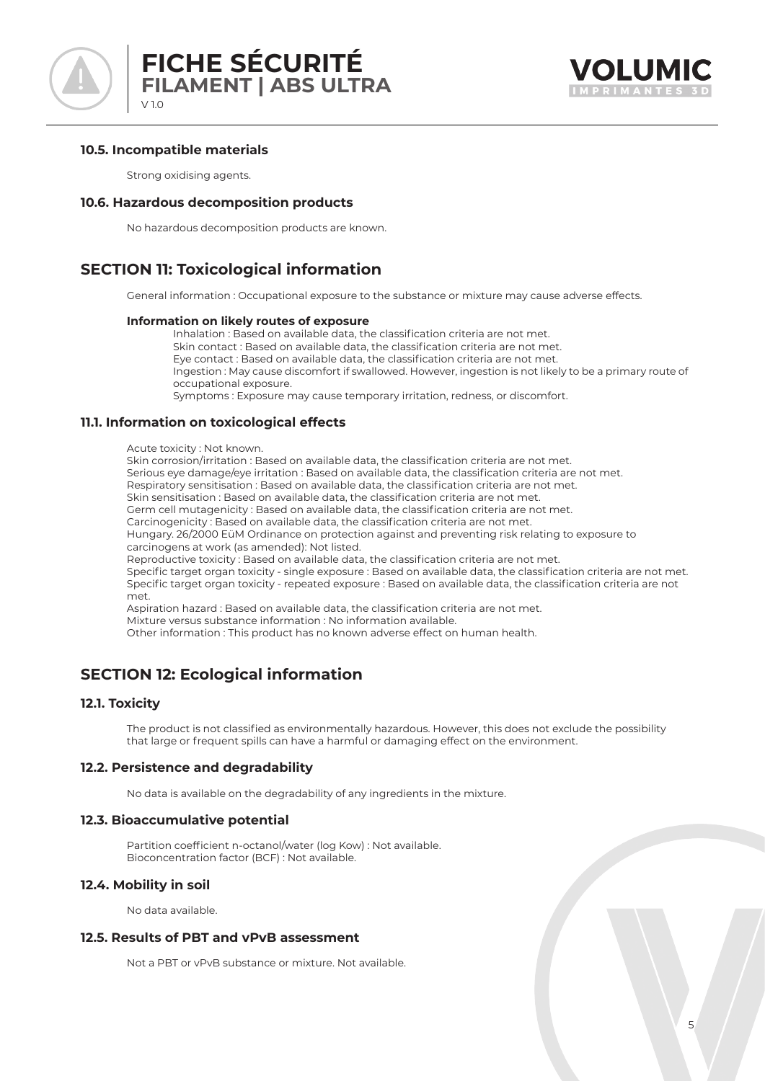

## **10.5. Incompatible materials**

Strong oxidising agents.

## **10.6. Hazardous decomposition products**

No hazardous decomposition products are known.

# **SECTION 11: Toxicological information**

General information : Occupational exposure to the substance or mixture may cause adverse effects.

### **Information on likely routes of exposure**

 Inhalation : Based on available data, the classification criteria are not met. Skin contact : Based on available data, the classification criteria are not met. Eye contact : Based on available data, the classification criteria are not met. Ingestion : May cause discomfort if swallowed. However, ingestion is not likely to be a primary route of occupational exposure. Symptoms : Exposure may cause temporary irritation, redness, or discomfort.

## **11.1. Information on toxicological effects**

### Acute toxicity : Not known.

Skin corrosion/irritation : Based on available data, the classification criteria are not met.

Serious eye damage/eye irritation : Based on available data, the classification criteria are not met.

Respiratory sensitisation : Based on available data, the classification criteria are not met.

Skin sensitisation : Based on available data, the classification criteria are not met.

Germ cell mutagenicity : Based on available data, the classification criteria are not met.

Carcinogenicity : Based on available data, the classification criteria are not met.

Hungary. 26/2000 EüM Ordinance on protection against and preventing risk relating to exposure to carcinogens at work (as amended): Not listed.

Reproductive toxicity : Based on available data, the classification criteria are not met.

Specific target organ toxicity - single exposure : Based on available data, the classification criteria are not met. Specific target organ toxicity - repeated exposure : Based on available data, the classification criteria are not met.

Aspiration hazard : Based on available data, the classification criteria are not met. Mixture versus substance information : No information available.

Other information : This product has no known adverse effect on human health.

# **SECTION 12: Ecological information**

## **12.1. Toxicity**

The product is not classified as environmentally hazardous. However, this does not exclude the possibility that large or frequent spills can have a harmful or damaging effect on the environment.

## **12.2. Persistence and degradability**

No data is available on the degradability of any ingredients in the mixture.

## **12.3. Bioaccumulative potential**

Partition coefficient n-octanol/water (log Kow) : Not available. Bioconcentration factor (BCF) : Not available.

## **12.4. Mobility in soil**

No data available.

## **12.5. Results of PBT and vPvB assessment**

Not a PBT or vPvB substance or mixture. Not available.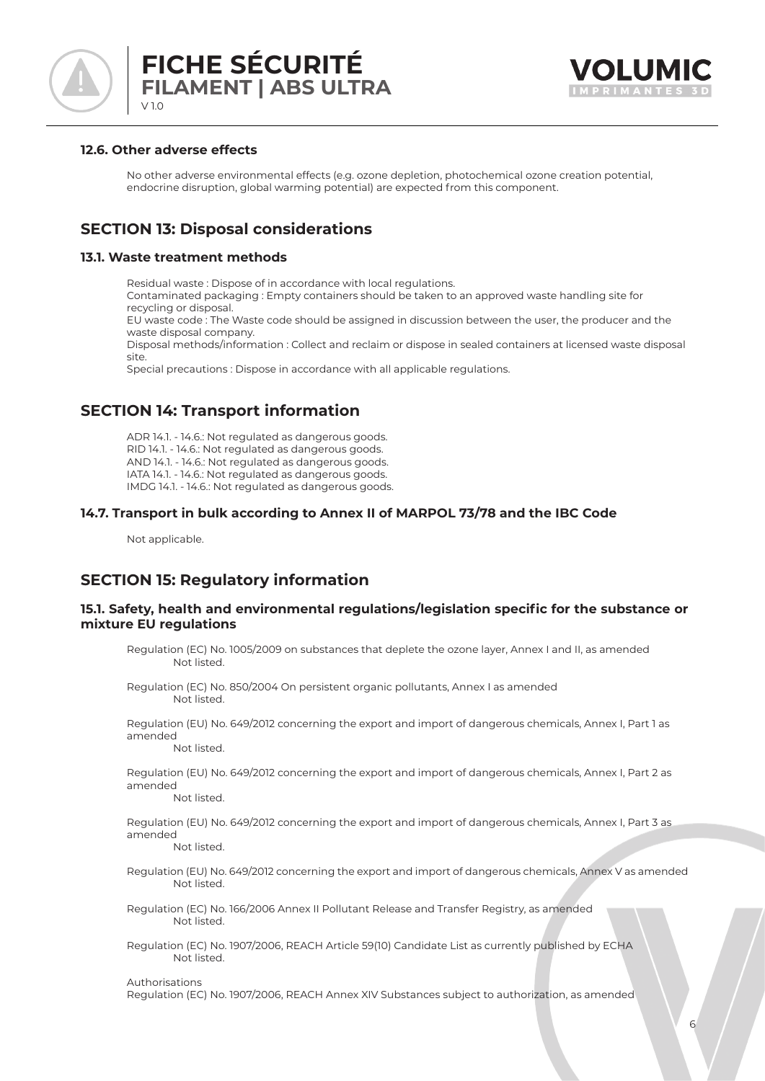



## **12.6. Other adverse effects**

No other adverse environmental effects (e.g. ozone depletion, photochemical ozone creation potential, endocrine disruption, global warming potential) are expected from this component.

# **SECTION 13: Disposal considerations**

## **13.1. Waste treatment methods**

Residual waste : Dispose of in accordance with local regulations. Contaminated packaging : Empty containers should be taken to an approved waste handling site for recycling or disposal.

EU waste code : The Waste code should be assigned in discussion between the user, the producer and the waste disposal company.

Disposal methods/information : Collect and reclaim or dispose in sealed containers at licensed waste disposal site.

Special precautions : Dispose in accordance with all applicable regulations.

# **SECTION 14: Transport information**

ADR 14.1. - 14.6.: Not regulated as dangerous goods. RID 14.1. - 14.6.: Not regulated as dangerous goods. AND 14.1. - 14.6.: Not regulated as dangerous goods. IATA 14.1. - 14.6.: Not regulated as dangerous goods. IMDG 14.1. - 14.6.: Not regulated as dangerous goods.

# **14.7. Transport in bulk according to Annex II of MARPOL 73/78 and the IBC Code**

Not applicable.

# **SECTION 15: Regulatory information**

## **15.1. Safety, health and environmental regulations/legislation specific for the substance or mixture EU regulations**

- Regulation (EC) No. 1005/2009 on substances that deplete the ozone layer, Annex I and II, as amended Not listed.
- Regulation (EC) No. 850/2004 On persistent organic pollutants, Annex I as amended Not listed.

Regulation (EU) No. 649/2012 concerning the export and import of dangerous chemicals, Annex I, Part 1 as amended Not listed.

Regulation (EU) No. 649/2012 concerning the export and import of dangerous chemicals, Annex I, Part 2 as amended

Not listed.

Regulation (EU) No. 649/2012 concerning the export and import of dangerous chemicals, Annex I, Part 3 as amended

Not listed.

- Regulation (EU) No. 649/2012 concerning the export and import of dangerous chemicals, Annex V as amended Not listed.
- Regulation (EC) No. 166/2006 Annex II Pollutant Release and Transfer Registry, as amended Not listed.
- Regulation (EC) No. 1907/2006, REACH Article 59(10) Candidate List as currently published by ECHA Not listed.

### Authorisations

Regulation (EC) No. 1907/2006, REACH Annex XIV Substances subject to authorization, as amended